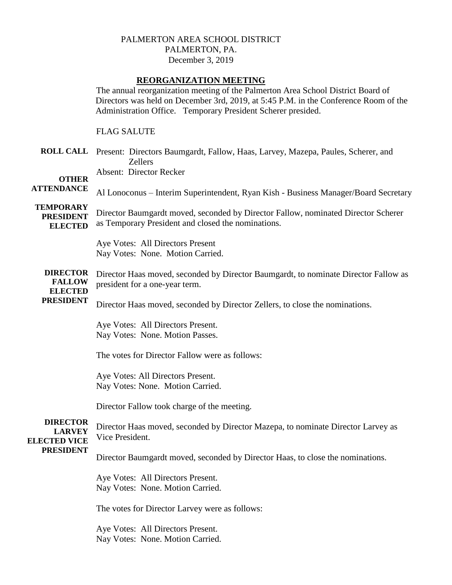## PALMERTON AREA SCHOOL DISTRICT PALMERTON, PA. December 3, 2019

## **REORGANIZATION MEETING**

The annual reorganization meeting of the Palmerton Area School District Board of Directors was held on December 3rd, 2019, at 5:45 P.M. in the Conference Room of the Administration Office. Temporary President Scherer presided.

FLAG SALUTE

**ROLL CALL** Present: Directors Baumgardt, Fallow, Haas, Larvey, Mazepa, Paules, Scherer, and Zellers

Absent: Director Recker

**OTHER ATTENDANCE**

Al Lonoconus – Interim Superintendent, Ryan Kish - Business Manager/Board Secretary

**TEMPORARY PRESIDENT** 

**ELECTED** Director Baumgardt moved, seconded by Director Fallow, nominated Director Scherer as Temporary President and closed the nominations.

> Aye Votes: All Directors Present Nay Votes: None. Motion Carried.

**DIRECTOR FALLOW** Director Haas moved, seconded by Director Baumgardt, to nominate Director Fallow as president for a one-year term.

**ELECTED** 

**PRESIDENT** Director Haas moved, seconded by Director Zellers, to close the nominations.

> Aye Votes: All Directors Present. Nay Votes: None. Motion Passes.

The votes for Director Fallow were as follows:

Aye Votes: All Directors Present. Nay Votes: None. Motion Carried.

Director Fallow took charge of the meeting.

## **DIRECTOR LARVEY ELECTED VICE PRESIDENT**

Director Haas moved, seconded by Director Mazepa, to nominate Director Larvey as Vice President.

Director Baumgardt moved, seconded by Director Haas, to close the nominations.

Aye Votes: All Directors Present. Nay Votes: None. Motion Carried.

The votes for Director Larvey were as follows:

Aye Votes: All Directors Present. Nay Votes: None. Motion Carried.